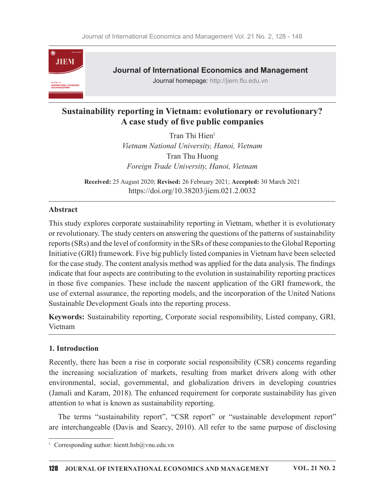

Journal of International Economics and Management

Journal homepage: http://jiem.ftu.edu.vn

# Sustainability reporting in Vietnam: evolutionary or revolutionary? A case study of five public companies

Tran Thi Hien<sup>1</sup> Vietnam National University, Hanoi, Vietnam Tran Thu Huong Foreign Trade University, Hanoi, Vietnam

Received: 25 August 2020; Revised: 26 February 2021; Accepted: 30 March 2021 https://doi.org/10.38203/jiem.021.2.0032

## Abstract

This study explores corporate sustainability reporting in Vietnam, whether it is evolutionary or revolutionary. The study centers on answering the questions of the patterns of sustainability reports (SRs) and the level of conformity in the SRs of these companies to the Global Reporting Initiative (GRI) framework. Five big publicly listed companies in Vietnam have been selected for the case study. The content analysis method was applied for the data analysis. The findings indicate that four aspects are contributing to the evolution in sustainability reporting practices in those five companies. These include the nascent application of the GRI framework, the use of external assurance, the reporting models, and the incorporation of the United Nations Sustainable Development Goals into the reporting process.

Keywords: Sustainability reporting, Corporate social responsibility, Listed company, GRI, Vietnam

## 1. Introduction

Recently, there has been a rise in corporate social responsibility (CSR) concerns regarding the increasing socialization of markets, resulting from market drivers along with other environmental, social, governmental, and globalization drivers in developing countries (Jamali and Karam, 2018). The enhanced requirement for corporate sustainability has given attention to what is known as sustainability reporting.

The terms "sustainability report", "CSR report" or "sustainable development report" are interchangeable (Davis and Searcy, 2010). All refer to the same purpose of disclosing 1

<sup>&</sup>lt;sup>1</sup> Corresponding author: hientt.hsb $@$ vnu.edu.vn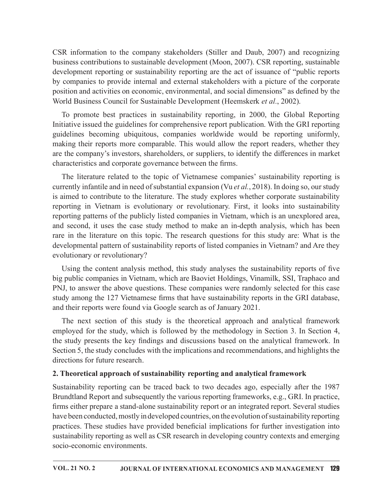CSR information to the company stakeholders (Stiller and Daub, 2007) and recognizing business contributions to sustainable development (Moon, 2007). CSR reporting, sustainable development reporting or sustainability reporting are the act of issuance of "public reports by companies to provide internal and external stakeholders with a picture of the corporate position and activities on economic, environmental, and social dimensions" as defined by the World Business Council for Sustainable Development (Heemskerk et al., 2002).

To promote best practices in sustainability reporting, in 2000, the Global Reporting Initiative issued the guidelines for comprehensive report publication. With the GRI reporting guidelines becoming ubiquitous, companies worldwide would be reporting uniformly, making their reports more comparable. This would allow the report readers, whether they are the company's investors, shareholders, or suppliers, to identify the differences in market characteristics and corporate governance between the firms.

The literature related to the topic of Vietnamese companies' sustainability reporting is currently infantile and in need of substantial expansion (Vu et al., 2018). In doing so, our study is aimed to contribute to the literature. The study explores whether corporate sustainability reporting in Vietnam is evolutionary or revolutionary. First, it looks into sustainability reporting patterns of the publicly listed companies in Vietnam, which is an unexplored area, and second, it uses the case study method to make an in-depth analysis, which has been rare in the literature on this topic. The research questions for this study are: What is the developmental pattern of sustainability reports of listed companies in Vietnam? and Are they evolutionary or revolutionary?

Using the content analysis method, this study analyses the sustainability reports of five big public companies in Vietnam, which are Baoviet Holdings, Vinamilk, SSI, Traphaco and PNJ, to answer the above questions. These companies were randomly selected for this case study among the 127 Vietnamese firms that have sustainability reports in the GRI database, and their reports were found via Google search as of January 2021.

The next section of this study is the theoretical approach and analytical framework employed for the study, which is followed by the methodology in Section 3. In Section 4, the study presents the key findings and discussions based on the analytical framework. In Section 5, the study concludes with the implications and recommendations, and highlights the directions for future research.

## 2. Theoretical approach of sustainability reporting and analytical framework

Sustainability reporting can be traced back to two decades ago, especially after the 1987 Brundtland Report and subsequently the various reporting frameworks, e.g., GRI. In practice, firms either prepare a stand-alone sustainability report or an integrated report. Several studies have been conducted, mostly in developed countries, on the evolution of sustainability reporting practices. These studies have provided beneficial implications for further investigation into sustainability reporting as well as CSR research in developing country contexts and emerging socio-economic environments.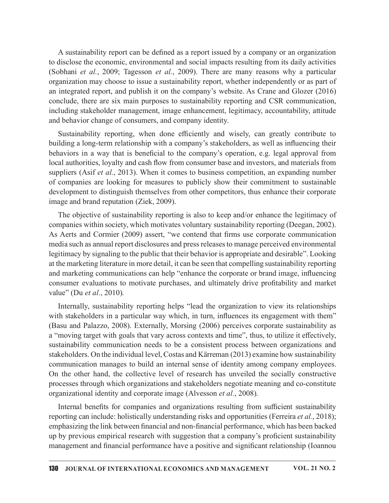A sustainability report can be defined as a report issued by a company or an organization to disclose the economic, environmental and social impacts resulting from its daily activities (Sobhani et al., 2009; Tagesson et al., 2009). There are many reasons why a particular organization may choose to issue a sustainability report, whether independently or as part of an integrated report, and publish it on the company's website. As Crane and Glozer (2016) conclude, there are six main purposes to sustainability reporting and CSR communication, including stakeholder management, image enhancement, legitimacy, accountability, attitude and behavior change of consumers, and company identity.

Sustainability reporting, when done efficiently and wisely, can greatly contribute to building a long-term relationship with a company's stakeholders, as well as influencing their behaviors in a way that is beneficial to the company's operation, e.g. legal approval from local authorities, loyalty and cash flow from consumer base and investors, and materials from suppliers (Asif *et al.*, 2013). When it comes to business competition, an expanding number of companies are looking for measures to publicly show their commitment to sustainable development to distinguish themselves from other competitors, thus enhance their corporate image and brand reputation (Ziek, 2009).

The objective of sustainability reporting is also to keep and/or enhance the legitimacy of companies within society, which motivates voluntary sustainability reporting (Deegan, 2002). As Aerts and Cormier (2009) assert, "we contend that firms use corporate communication media such as annual report disclosures and press releases to manage perceived environmental legitimacy by signaling to the public that their behavior is appropriate and desirable". Looking at the marketing literature in more detail, it can be seen that compelling sustainability reporting and marketing communications can help "enhance the corporate or brand image, influencing consumer evaluations to motivate purchases, and ultimately drive profitability and market value" (Du *et al.*, 2010).

Internally, sustainability reporting helps "lead the organization to view its relationships with stakeholders in a particular way which, in turn, influences its engagement with them" (Basu and Palazzo, 2008). Externally, Morsing (2006) perceives corporate sustainability as a "moving target with goals that vary across contexts and time", thus, to utilize it effectively, sustainability communication needs to be a consistent process between organizations and stakeholders. On the individual level, Costas and Kärreman (2013) examine how sustainability communication manages to build an internal sense of identity among company employees. On the other hand, the collective level of research has unveiled the socially constructive processes through which organizations and stakeholders negotiate meaning and co-constitute organizational identity and corporate image (Alvesson *et al.*, 2008).

Internal benefits for companies and organizations resulting from sufficient sustainability reporting can include: holistically understanding risks and opportunities (Ferreira et al., 2018); emphasizing the link between financial and non-financial performance, which has been backed up by previous empirical research with suggestion that a company's proficient sustainability management and financial performance have a positive and significant relationship (Ioannou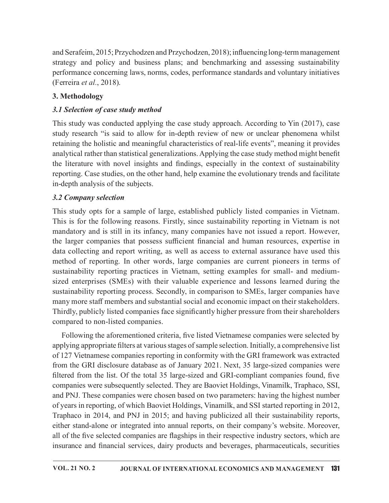and Serafeim, 2015; Przychodzen and Przychodzen, 2018); influencing long-term management strategy and policy and business plans; and benchmarking and assessing sustainability performance concerning laws, norms, codes, performance standards and voluntary initiatives (Ferreira et al., 2018).

# 3. Methodology

# 3.1 Selection of case study method

This study was conducted applying the case study approach. According to Yin (2017), case study research "is said to allow for in-depth review of new or unclear phenomena whilst retaining the holistic and meaningful characteristics of real-life events", meaning it provides analytical rather than statistical generalizations. Applying the case study method might benefit and Serafeim, 2015; Przychodzen and Przychodzen, 2018); influencing long-term management<br>strategy and policy and business plans; and benchmarking and assessing sustainability<br>performance concerning laws, norms, codes, per reporting. Case studies, on the other hand, help examine the evolutionary trends and facilitate in-depth analysis of the subjects.

## 3.2 Company selection

This study opts for a sample of large, established publicly listed companies in Vietnam. This is for the following reasons. Firstly, since sustainability reporting in Vietnam is not mandatory and is still in its infancy, many companies have not issued a report. However, 3. Methodology<br>
2.1 Selection of case study method<br>
2.1 Selection of case study method<br>
This study was conducted applying the case study approach. According to Vin (2017), case<br>
study research "is said to allow for in-dep data collecting and report writing, as well as access to external assurance have used this method of reporting. In other words, large companies are current pioneers in terms of sustainability reporting practices in Vietnam, setting examples for small- and mediumsized enterprises (SMEs) with their valuable experience and lessons learned during the sustainability reporting process. Secondly, in comparison to SMEs, larger companies have many more staff members and substantial social and economic impact on their stakeholders. Thirdly, publicly listed companies face significantly higher pressure from their shareholders compared to non-listed companies.

Following the aforementioned criteria, five listed Vietnamese companies were selected by applying appropriate filters at various stages of sample selection. Initially, a comprehensive list of 127 Vietnamese companies reporting in conformity with the GRI framework was extracted from the GRI disclosure database as of January 2021. Next, 35 large-sized companies were filtered from the list. Of the total 35 large-sized and GRI-compliant companies found, five companies were subsequently selected. They are Baoviet Holdings, Vinamilk, Traphaco, SSI, and PNJ. These companies were chosen based on two parameters: having the highest number of years in reporting, of which Baoviet Holdings, Vinamilk, and SSI started reporting in 2012, Traphaco in 2014, and PNJ in 2015; and having publicized all their sustainability reports, either stand-alone or integrated into annual reports, on their company's website. Moreover, all of the five selected companies are flagships in their respective industry sectors, which are insurance and financial services, dairy products and beverages, pharmaceuticals, securities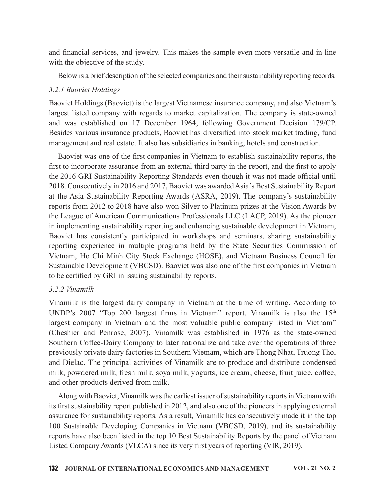and financial services, and jewelry. This makes the sample even more versatile and in line with the objective of the study.

Below is a brief description of the selected companies and their sustainability reporting records.

## 3.2.1 Baoviet Holdings

Baoviet Holdings (Baoviet) is the largest Vietnamese insurance company, and also Vietnam's largest listed company with regards to market capitalization. The company is state-owned and was established on 17 December 1964, following Government Decision 179/CP. Besides various insurance products, Baoviet has diversified into stock market trading, fund management and real estate. It also has subsidiaries in banking, hotels and construction.

Baoviet was one of the first companies in Vietnam to establish sustainability reports, the first to incorporate assurance from an external third party in the report, and the first to apply the 2016 GRI Sustainability Reporting Standards even though it was not made official until 2018. Consecutively in 2016 and 2017, Baoviet was awarded Asia's Best Sustainability Report at the Asia Sustainability Reporting Awards (ASRA, 2019). The company's sustainability reports from 2012 to 2018 have also won Silver to Platinum prizes at the Vision Awards by the League of American Communications Professionals LLC (LACP, 2019). As the pioneer in implementing sustainability reporting and enhancing sustainable development in Vietnam, Baoviet has consistently participated in workshops and seminars, sharing sustainability reporting experience in multiple programs held by the State Securities Commission of Vietnam, Ho Chi Minh City Stock Exchange (HOSE), and Vietnam Business Council for Sustainable Development (VBCSD). Baoviet was also one of the first companies in Vietnam to be certified by GRI in issuing sustainability reports. Haovet was one of the thris companies in Vietnam to establish sustainability reports, the first to incorporate assurance from an external third party in the report, and the first to apply the 2016 GRI Sustainability Report

## 3.2.2 Vinamilk

Vinamilk is the largest dairy company in Vietnam at the time of writing. According to largest company in Vietnam and the most valuable public company listed in Vietnam" (Cheshier and Penrose, 2007). Vinamilk was established in 1976 as the state-owned Southern Coffee-Dairy Company to later nationalize and take over the operations of three previously private dairy factories in Southern Vietnam, which are Thong Nhat, Truong Tho, and Dielac. The principal activities of Vinamilk are to produce and distribute condensed milk, powdered milk, fresh milk, soya milk, yogurts, ice cream, cheese, fruit juice, coffee, and other products derived from milk.

Along with Baoviet, Vinamilk was the earliest issuer of sustainability reports in Vietnam with its first sustainability report published in 2012, and also one of the pioneers in applying external assurance for sustainability reports. As a result, Vinamilk has consecutively made it in the top 100 Sustainable Developing Companies in Vietnam (VBCSD, 2019), and its sustainability reports have also been listed in the top 10 Best Sustainability Reports by the panel of Vietnam Listed Company Awards (VLCA) since its very first years of reporting (VIR, 2019).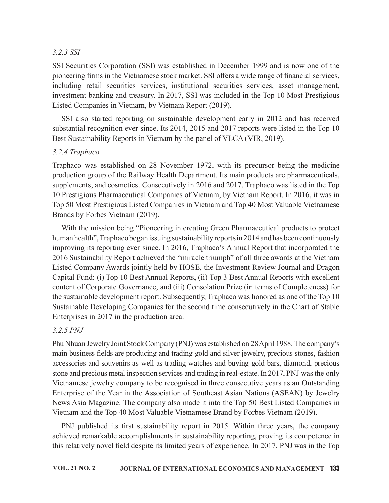## 3.2.3 SSI

SSI Securities Corporation (SSI) was established in December 1999 and is now one of the pioneering firms in the Vietnamese stock market. SSI offers a wide range of financial services, including retail securities services, institutional securities services, asset management, investment banking and treasury. In 2017, SSI was included in the Top 10 Most Prestigious Listed Companies in Vietnam, by Vietnam Report (2019).

SSI also started reporting on sustainable development early in 2012 and has received substantial recognition ever since. Its 2014, 2015 and 2017 reports were listed in the Top 10 Best Sustainability Reports in Vietnam by the panel of VLCA (VIR, 2019).

## 3.2.4 Traphaco

Traphaco was established on 28 November 1972, with its precursor being the medicine production group of the Railway Health Department. Its main products are pharmaceuticals, supplements, and cosmetics. Consecutively in 2016 and 2017, Traphaco was listed in the Top 10 Prestigious Pharmaceutical Companies of Vietnam, by Vietnam Report. In 2016, it was in Top 50 Most Prestigious Listed Companies in Vietnam and Top 40 Most Valuable Vietnamese Brands by Forbes Vietnam (2019).

With the mission being "Pioneering in creating Green Pharmaceutical products to protect human health", Traphaco began issuing sustainability reports in 2014 and has been continuously improving its reporting ever since. In 2016, Traphaco's Annual Report that incorporated the 2016 Sustainability Report achieved the "miracle triumph" of all three awards at the Vietnam Listed Company Awards jointly held by HOSE, the Investment Review Journal and Dragon Capital Fund: (i) Top 10 Best Annual Reports, (ii) Top 3 Best Annual Reports with excellent content of Corporate Governance, and (iii) Consolation Prize (in terms of Completeness) for the sustainable development report. Subsequently, Traphaco was honored as one of the Top 10 Sustainable Developing Companies for the second time consecutively in the Chart of Stable Enterprises in 2017 in the production area.

## 3.2.5 PNJ

Phu Nhuan Jewelry Joint Stock Company (PNJ) was established on 28 April 1988. The company's main business fields are producing and trading gold and silver jewelry, precious stones, fashion accessories and souvenirs as well as trading watches and buying gold bars, diamond, precious stone and precious metal inspection services and trading in real-estate. In 2017, PNJ was the only Vietnamese jewelry company to be recognised in three consecutive years as an Outstanding Enterprise of the Year in the Association of Southeast Asian Nations (ASEAN) by Jewelry News Asia Magazine. The company also made it into the Top 50 Best Listed Companies in Vietnam and the Top 40 Most Valuable Vietnamese Brand by Forbes Vietnam (2019). Example The The Company is the interest of the most of the method of the method of the method of Competents (ii) Top 3 Best Amual Reports with excellent tent of Corporate Governance, and (iii) Consolation Prize (in terms

achieved remarkable accomplishments in sustainability reporting, proving its competence in this relatively novel field despite its limited years of experience. In 2017, PNJ was in the Top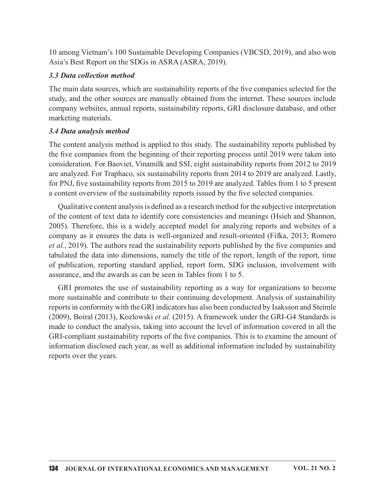10 among Vietnam's 100 Sustainable Developing Companies (VBCSD, 2019), and also won Asia's Best Report on the SDGs in ASRA (ASRA, 2019).

#### 3.3 Data collection method

The main data sources, which are sustainability reports of the five companies selected for the study, and the other sources are manually obtained from the internet. These sources include company websites, annual reports, sustainability reports, GRI disclosure database, and other marketing materials.

## 3.4 Data analysis method

The content analysis method is applied to this study. The sustainability reports published by the five companies from the beginning of their reporting process until 2019 were taken into consideration. For Baoviet, Vinamilk and SSI, eight sustainability reports from 2012 to 2019 are analyzed. For Traphaco, six sustainability reports from 2014 to 2019 are analyzed. Lastly, for PNJ, five sustainability reports from 2015 to 2019 are analyzed. Tables from 1 to 5 present a content overview of the sustainability reports issued by the five selected companies.

Qualitative content analysis is defined as a research method for the subjective interpretation of the content of text data to identify core consistencies and meanings (Hsieh and Shannon, 2005). Therefore, this is a widely accepted model for analyzing reports and websites of a company as it ensures the data is well-organized and result-oriented (Fifka, 2013; Romero et al., 2019). The authors read the sustainability reports published by the five companies and tabulated the data into dimensions, namely the title of the report, length of the report, time of publication, reporting standard applied, report form, SDG inclusion, involvement with assurance, and the awards as can be seen in Tables from 1 to 5.

GRI promotes the use of sustainability reporting as a way for organizations to become more sustainable and contribute to their continuing development. Analysis of sustainability reports in conformity with the GRI indicators has also been conducted by Isaksson and Steimle (2009), Boiral (2013), Kozlowski et al. (2015). A framework under the GRI-G4 Standards is made to conduct the analysis, taking into account the level of information covered in all the GRI-compliant sustainability reports of the five companies. This is to examine the amount of information disclosed each year, as well as additional information included by sustainability reports over the years.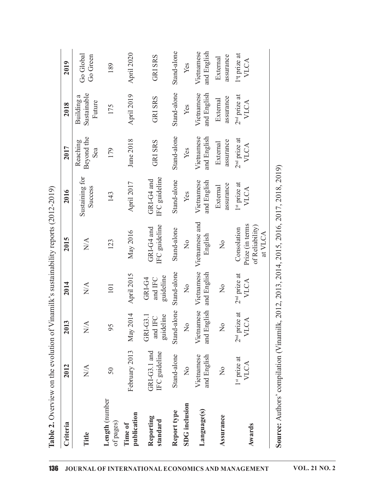| Criteria                    | 2012                          | 2013                                              | 2014                                              | 2015                                                         | 2016                             | 2017                          | 2018                                | 2019                                    |
|-----------------------------|-------------------------------|---------------------------------------------------|---------------------------------------------------|--------------------------------------------------------------|----------------------------------|-------------------------------|-------------------------------------|-----------------------------------------|
| Title                       | $\mathop{\rm NA}\nolimits$    | $\mathop{\rm N}\nolimits\!mathop{\rm A}\nolimits$ | $\mathop{\rm N}\nolimits\!mathop{\rm A}\nolimits$ | $\mathop{\mathsf{N}}\nolimits\mathop{\mathsf{A}}$            | Sustaining for<br>Success        | Beyond the<br>Reaching<br>Sea | Sustainable<br>Building a<br>Future | Go Global<br>Go Green                   |
| Length (number<br>of pages) | 50                            | 95                                                | 101                                               | 123                                                          | 143                              | 179                           | 175                                 | 189                                     |
| publication<br>Time of      | February 2013                 | May 2014                                          | April 2015                                        | May 2016                                                     | 12017<br>April                   | June 2018                     | April 2019                          | April 2020                              |
| Reporting<br>standard       | GRI-G3.1 and<br>IFC guideline | guideline<br>GRI-G3.1<br>and IFC                  | guideline<br>and IFC<br>GRI-G4                    | IFC guideline<br>GRI-G4 and                                  | IFC guideline<br>GRI-G4 and      | <b>GRI SRS</b>                | <b>GRISRS</b>                       | <b>GRISRS</b>                           |
| Report type                 | Stand-alone                   | Stand-alone                                       | Stand-alone                                       | Stand-alone                                                  | Stand-alone                      | Stand-alone                   | Stand-alone                         | Stand-alone                             |
| <b>SDG</b> inclusion        | $\frac{1}{2}$                 | $\frac{1}{2}$                                     | $\frac{1}{2}$                                     | $\frac{1}{2}$                                                | Yes                              | Yes                           | Yes                                 | Yes                                     |
| Language(s)                 | and English<br>Vietnamese     | and English                                       | Vietnamese Vietnamese<br>and English              | Vietnamese and<br>English                                    | and English<br>Vietnamese        | and English<br>Vietnamese     | Vietnamese<br>and English           | and English<br>Vietnamese               |
| Assurance                   | $\frac{1}{2}$                 | $\mathsf{S}^{\mathsf{O}}$                         | $\mathop{\mathsf{S}}\nolimits$                    | $\overline{z}$                                               | assurance<br>External            | assurance<br>External         | assurance<br>External               | assurance<br>External                   |
| Awards                      | $1st$ prize at<br><b>VLCA</b> | $2nd$ prize at<br><b>VLCA</b>                     | $2nd$ prize at<br><b>VLCA</b>                     | Prize (in terms<br>of Reliability)<br>Consolation<br>at VLCA | 1 <sup>st</sup> prize at<br>VLCA | $2nd$ prize at<br>VLCA        | $2nd$ prize at<br><b>VLCA</b>       | 1 <sup>st</sup> prize at<br><b>VLCA</b> |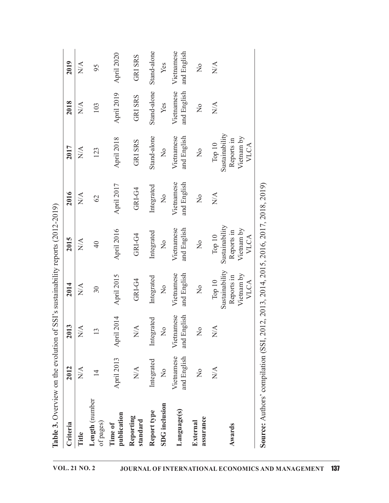| )<br>]<br>]<br>ı                                         |
|----------------------------------------------------------|
| くくてく                                                     |
|                                                          |
| $\frac{1}{2}$                                            |
|                                                          |
|                                                          |
|                                                          |
|                                                          |
|                                                          |
| しゅうしんきん ディー・ディー・アクセス りゅうしゅう こうしょう                        |
|                                                          |
| l                                                        |
|                                                          |
|                                                          |
|                                                          |
|                                                          |
|                                                          |
|                                                          |
|                                                          |
|                                                          |
| j<br>ļ                                                   |
| j                                                        |
|                                                          |
| <br> 2<br> 2<br> 2<br> 2                                 |
|                                                          |
|                                                          |
|                                                          |
|                                                          |
|                                                          |
|                                                          |
|                                                          |
|                                                          |
|                                                          |
| Janasan C                                                |
|                                                          |
|                                                          |
|                                                          |
|                                                          |
|                                                          |
|                                                          |
| $\sim$ The state of the distribution of $\sim$<br>)<br>) |
| (                                                        |
| ຸ່                                                       |
|                                                          |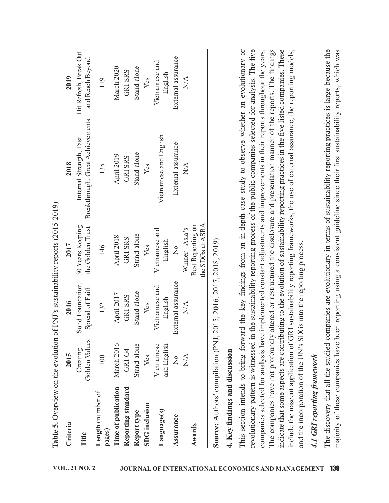| Criteria                       | 2015                      | 2016                                                               | 2017                                                                                                                                                                                                                                                                                                                        | 2018                                                                                                                                                                                                                                                                                                                                                                                                                                                                                          | 2019                                       |
|--------------------------------|---------------------------|--------------------------------------------------------------------|-----------------------------------------------------------------------------------------------------------------------------------------------------------------------------------------------------------------------------------------------------------------------------------------------------------------------------|-----------------------------------------------------------------------------------------------------------------------------------------------------------------------------------------------------------------------------------------------------------------------------------------------------------------------------------------------------------------------------------------------------------------------------------------------------------------------------------------------|--------------------------------------------|
| Title                          | Golden Values<br>Creating | Solid Foundation,<br>Spread of Faith                               | 30 Years Keeping<br>the Golden Trust                                                                                                                                                                                                                                                                                        | Breakthrough, Great Achievements<br>Internal Strength, Fast                                                                                                                                                                                                                                                                                                                                                                                                                                   | Hit Refresh, Break Out<br>and Reach Beyond |
| Length (number of<br>pages)    | 100                       | 132                                                                | 146                                                                                                                                                                                                                                                                                                                         | 135                                                                                                                                                                                                                                                                                                                                                                                                                                                                                           | 119                                        |
| Time of publication            | March 2016                | April 2017                                                         | April 2018                                                                                                                                                                                                                                                                                                                  | April 2019                                                                                                                                                                                                                                                                                                                                                                                                                                                                                    | March 2020                                 |
| Reporting standard             | GRI-G4                    | <b>GRISRS</b>                                                      | <b>GRISRS</b>                                                                                                                                                                                                                                                                                                               | <b>GRI SRS</b>                                                                                                                                                                                                                                                                                                                                                                                                                                                                                | <b>GRISRS</b>                              |
| Report type                    | Stand-alone               | Stand-alone                                                        | Stand-alone                                                                                                                                                                                                                                                                                                                 | Stand-alone                                                                                                                                                                                                                                                                                                                                                                                                                                                                                   | Stand-alone                                |
| <b>SDG</b> inclusion           | Yes                       | Yes                                                                | Yes                                                                                                                                                                                                                                                                                                                         | Yes                                                                                                                                                                                                                                                                                                                                                                                                                                                                                           | Yes                                        |
| Language(s)                    | Vietnamese<br>and English | Vietnamese and<br>English                                          | Vietnamese and<br>English                                                                                                                                                                                                                                                                                                   | Vietnamese and English                                                                                                                                                                                                                                                                                                                                                                                                                                                                        | Vietnamese and<br>English                  |
| Assurance                      | $\overline{X}^{\circ}$    | External assurance                                                 | $\overline{\mathsf{X}}$                                                                                                                                                                                                                                                                                                     | External assurance                                                                                                                                                                                                                                                                                                                                                                                                                                                                            | External assurance                         |
| Awards                         | $\mathbf{N} \mathbf{A}$   | $\overline{X}$                                                     | the SDGs at ASRA<br>Best Reporting on<br>Winner - Asia's                                                                                                                                                                                                                                                                    | $\overline{N}$ A                                                                                                                                                                                                                                                                                                                                                                                                                                                                              | $\overline{N}$                             |
| 4. Key findings and discussion |                           | Source: Authors' compilation (PNJ, 2015, 2016, 2017, 2018, 2019)   |                                                                                                                                                                                                                                                                                                                             |                                                                                                                                                                                                                                                                                                                                                                                                                                                                                               |                                            |
|                                |                           | and the incorporation of the UN's SDGs into the reporting process. | This section intends to bring forward the key findings from an in-depth<br>revolutionary pattern is witnessed in the sustainability reporting process of<br>indicate that some aspects are contributing to the evolution of sustainability 1<br>include the nascent application of GRI sustainability reporting frameworks, | case study to observe whether an evolutionary or<br>The companies have not profoundly altered or restructured the disclosure and presentation manner of the reports. The findings<br>the public companies selected for analysis. The five<br>reporting practices in the five listed companies. These<br>companies selected for analysis have implemented constant adjustments and improvements in their reports throughout the years.<br>the use of external assurance, the reporting models, |                                            |
| 4.1 GRI reporting framework    |                           |                                                                    |                                                                                                                                                                                                                                                                                                                             |                                                                                                                                                                                                                                                                                                                                                                                                                                                                                               |                                            |
|                                |                           |                                                                    | majority of these companies have been reporting using a consistent guidel                                                                                                                                                                                                                                                   | The discovery that all the studied companies are evolutionary in terms of sustainability reporting practices is large because the<br>ine since their first sustainability reports, which was                                                                                                                                                                                                                                                                                                  |                                            |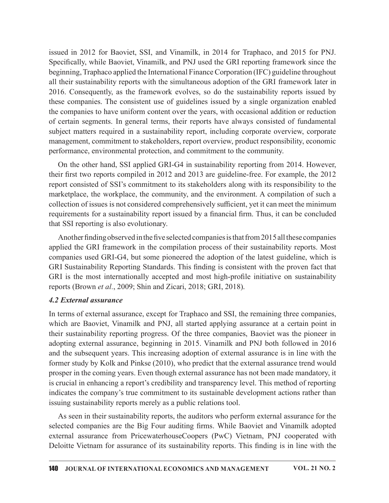issued in 2012 for Baoviet, SSI, and Vinamilk, in 2014 for Traphaco, and 2015 for PNJ. Specifically, while Baoviet, Vinamilk, and PNJ used the GRI reporting framework since the beginning, Traphaco applied the International Finance Corporation (IFC) guideline throughout all their sustainability reports with the simultaneous adoption of the GRI framework later in 2016. Consequently, as the framework evolves, so do the sustainability reports issued by these companies. The consistent use of guidelines issued by a single organization enabled the companies to have uniform content over the years, with occasional addition or reduction of certain segments. In general terms, their reports have always consisted of fundamental subject matters required in a sustainability report, including corporate overview, corporate management, commitment to stakeholders, report overview, product responsibility, economic performance, environmental protection, and commitment to the community.

On the other hand, SSI applied GRI-G4 in sustainability reporting from 2014. However, their first two reports compiled in 2012 and 2013 are guideline-free. For example, the 2012 report consisted of SSI's commitment to its stakeholders along with its responsibility to the marketplace, the workplace, the community, and the environment. A compilation of such a collection of issues is not considered comprehensively sufficient, yet it can meet the minimum requirements for a sustainability report issued by a financial firm. Thus, it can be concluded that SSI reporting is also evolutionary.

Another finding observed in the five selected companies is that from 2015 all these companies applied the GRI framework in the compilation process of their sustainability reports. Most companies used GRI-G4, but some pioneered the adoption of the latest guideline, which is GRI Sustainability Reporting Standards. This finding is consistent with the proven fact that GRI is the most internationally accepted and most high-profile initiative on sustainability reports (Brown et al., 2009; Shin and Zicari, 2018; GRI, 2018).

#### 4.2 External assurance

In terms of external assurance, except for Traphaco and SSI, the remaining three companies, which are Baoviet, Vinamilk and PNJ, all started applying assurance at a certain point in their sustainability reporting progress. Of the three companies, Baoviet was the pioneer in adopting external assurance, beginning in 2015. Vinamilk and PNJ both followed in 2016 and the subsequent years. This increasing adoption of external assurance is in line with the former study by Kolk and Pinkse (2010), who predict that the external assurance trend would prosper in thecoming years. Even though external assurance has not been made mandatory, it is crucial in enhancing a report's credibility and transparency level. This method of reporting indicates the company's true commitment to its sustainable development actions rather than issuing sustainability reports merely as a public relations tool.

As seen in their sustainability reports, the auditors who perform external assurance for the selected companies are the Big Four auditing firms. While Baoviet and Vinamilk adopted external assurance from PricewaterhouseCoopers (PwC) Vietnam, PNJ cooperated with Deloitte Vietnam for assurance of its sustainability reports. This finding is in line with the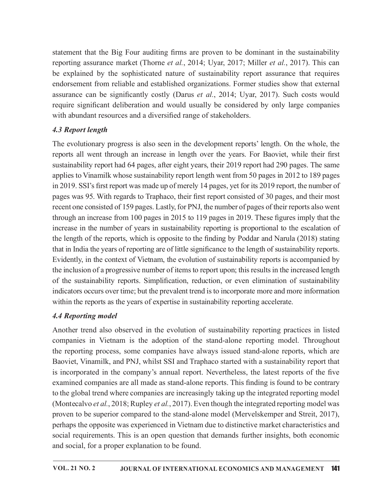statement that the Big Four auditing firms are proven to be dominant in the sustainability reporting assurance market (Thorne *et al.*, 2014; Uyar, 2017; Miller *et al.*, 2017). This can be explained by the sophisticated nature of sustainability report assurance that requires endorsement from reliable and established organizations. Former studies show that external assurance can be significantly costly (Darus *et al.*, 2014; Uyar, 2017). Such costs would require significant deliberation and would usually be considered by only large companies with abundant resources and a diversified range of stakeholders. statement that the Big Four auditing firms are proven to be dominant in the sustainability<br>reporting assurance market (Thorne *et al.*, 2014; Uyar, 2017; Miller *et al.*, 2017). This can<br>be explained by the sophisticated

# 4.3 Report length

The evolutionary progress is also seen in the development reports' length. On the whole, the sustainability report had 64 pages, after eight years, their 2019 report had 290 pages. The same applies to Vinamilk whose sustainability report length went from 50 pages in 2012 to 189 pages in 2019. SSI's first report was made up of merely 14 pages, yet for its 2019 report, the number of pages was 95. With regards to Traphaco, their first report consisted of 30 pages, and their most recent one consisted of 159 pages. Lastly, for PNJ, the number of pages of their reports also went through an increase from  $100$  pages in  $2015$  to  $119$  pages in  $2019$ . These figures imply that the increase in the number of years in sustainability reporting is proportional to the escalation of the length of the reports, which is opposite to the finding by Poddar and Narula (2018) stating that in India the years of reporting are of little significance to the length of sustainability reports. Evidently, in the context of Vietnam, the evolution of sustainability reports is accompanied by the inclusion of a progressive number of items to report upon; this results in the increased length of the sustainability reports. Simplification, reduction, or even elimination of sustainability indicators occurs over time; but the prevalent trend is to incorporate more and more information within the reports as the years of expertise in sustainability reporting accelerate.

## 4.4 Reporting model

Another trend also observed in the evolution of sustainability reporting practices in listed companies in Vietnam is the adoption of the stand-alone reporting model. Throughout the reporting process, some companies have always issued stand-alone reports, which are Baoviet, Vinamilk, and PNJ, whilst SSI and Traphaco started with a sustainability report that is incorporated in the company's annual report. Nevertheless, the latest reports of the five examined companies are all made as stand-alone reports. This finding is found to be contrary to the global trend where companies are increasingly taking up the integrated reporting model (Montecalvo et al., 2018; Rupley et al., 2017). Even though the integrated reporting model was proven to be superior compared to the stand-alone model (Mervelskemper and Streit, 2017), perhaps the opposite was experienced in Vietnam due to distinctive market characteristics and social requirements. This is an open question that demands further insights, both economic and social, for a proper explanation to be found.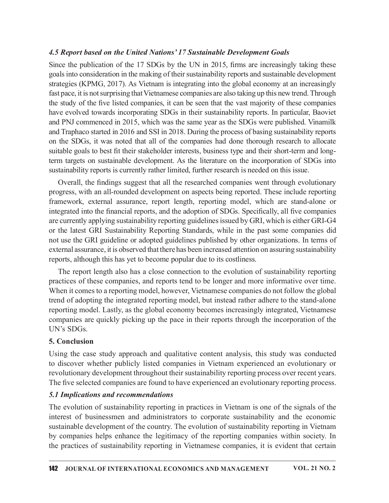## 4.5 Report based on the United Nations' 17 Sustainable Development Goals

Since the publication of the  $17$  SDGs by the UN in 2015, firms are increasingly taking these goals into consideration in the making of their sustainability reports and sustainable development strategies (KPMG, 2017). As Vietnam is integrating into the global economy at an increasingly fast pace, it is not surprising that Vietnamese companies are also taking up this new trend. Through the study of the five listed companies, it can be seen that the vast majority of these companies have evolved towards incorporating SDGs in their sustainability reports. In particular, Baoviet and PNJ commenced in 2015, which was the same year as the SDGs were published. Vinamilk and Traphaco started in 2016 and SSI in 2018. During the process of basing sustainability reports on the SDGs, it was noted that all of the companies had done thorough research to allocate suitable goals to best fit their stakeholder interests, business type and their short-term and longterm targets on sustainable development. As the literature on the incorporation of SDGs into sustainability reports is currently rather limited, further research is needed on this issue.

Overall, the findings suggest that all the researched companies went through evolutionary progress, with an all-rounded development on aspects being reported. These include reporting framework, external assurance, report length, reporting model, which are stand-alone or integrated into the financial reports, and the adoption of SDGs. Specifically, all five companies are currently applying sustainability reporting guidelines issued by GRI, which is either GRI-G4 or the latest GRI Sustainability Reporting Standards, while in the past some companies did not use the GRI guideline or adopted guidelines published by other organizations. In terms of external assurance, it is observed that there has been increased attention on assuring sustainability reports, although this has yet to become popular due to its costliness.

The report length also has a close connection to the evolution of sustainability reporting practices of these companies, and reports tend to be longer and more informative over time. When it comes to a reporting model, however, Vietnamese companies do not follow the global trend of adopting the integrated reporting model, but instead rather adhere to the stand-alone reporting model. Lastly, as the global economy becomes increasingly integrated, Vietnamese companies are quickly picking up the pace in their reports through the incorporation of the UN's SDGs.

## 5. Conclusion

Using the case study approach and qualitative content analysis, this study was conducted to discover whether publicly listed companies in Vietnam experienced an evolutionary or revolutionary development throughout their sustainability reporting process over recent years. The five selected companies are found to have experienced an evolutionary reporting process.

## 5.1 Implications and recommendations

The evolution of sustainability reporting in practices in Vietnam is one of the signals of the interest of businessmen and administrators to corporate sustainability and the economic sustainable development of the country. The evolution of sustainability reporting in Vietnam by companies helps enhance the legitimacy of the reporting companies within society. In the practices of sustainability reporting in Vietnamese companies, it is evident that certain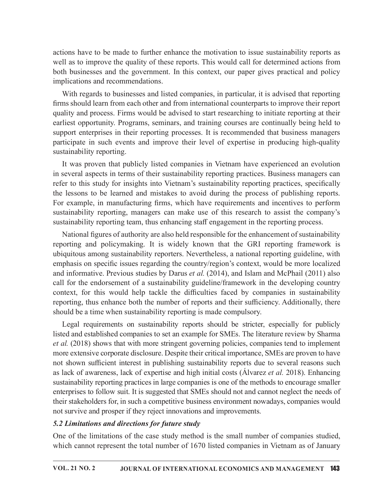actions have to be made to further enhance the motivation to issue sustainability reports as well as to improve the quality of these reports. This would call for determined actions from both businesses and the government. In this context, our paper gives practical and policy implications and recommendations.

With regards to businesses and listed companies, in particular, it is advised that reporting firms should learn from each other and from international counterparts to improve their report quality and process. Firms would be advised to start researching to initiate reporting at their earliest opportunity. Programs, seminars, and training courses are continually being held to support enterprises in their reporting processes. It is recommended that business managers participate in such events and improve their level of expertise in producing high-quality sustainability reporting.

It was proven that publicly listed companies in Vietnam have experienced an evolution in several aspects in terms of their sustainability reporting practices. Business managers can refer to this study for insights into Vietnam's sustainability reporting practices, specifically the lessons to be learned and mistakes to avoid during the process of publishing reports. For example, in manufacturing firms, which have requirements and incentives to perform sustainability reporting, managers can make use of this research to assist the company's sustainability reporting team, thus enhancing staff engagement in the reporting process.

National figures of authority are also held responsible for the enhancement of sustainability reporting and policymaking. It is widely known that the GRI reporting framework is ubiquitous among sustainability reporters. Nevertheless, a national reporting guideline, with emphasis on specific issues regarding the country/region's context, would be more localized and informative. Previous studies by Darus et al. (2014), and Islam and McPhail (2011) also call for the endorsement of a sustainability guideline/framework in the developing country context, for this would help tackle the difficulties faced by companies in sustainability reporting, thus enhance both the number of reports and their sufficiency. Additionally, there should be a time when sustainability reporting is made compulsory.

Legal requirements on sustainability reports should be stricter, especially for publicly listed and established companies to set an example for SMEs. The literature review by Sharma et al. (2018) shows that with more stringent governing policies, companies tend to implement more extensive corporate disclosure. Despite their critical importance, SMEs are proven to have not shown sufficient interest in publishing sustainability reports due to several reasons such as lack of awareness, lack of expertise and high initial costs (Álvarez et al. 2018). Enhancing sustainability reporting practices in large companies is one of the methods to encourage smaller enterprises to follow suit. It is suggested that SMEs should not and cannot neglect the needs of their stakeholders for, in such a competitive business environment nowadays, companies would not survive and prosper if they reject innovations and improvements.

#### 5.2 Limitations and directions for future study

One of the limitations of the case study method is the small number of companies studied, which cannot represent the total number of 1670 listed companies in Vietnam as of January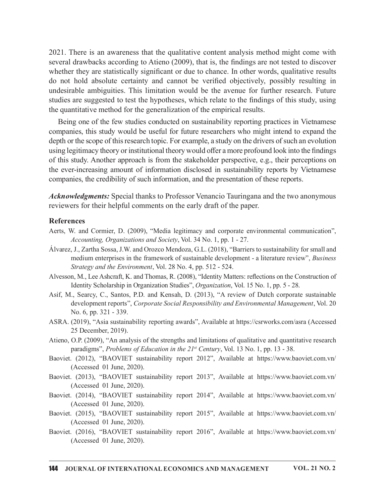2021. There is an awareness that the qualitative content analysis method might come with several drawbacks according to Atieno (2009), that is, the findings are not tested to discover whether they are statistically significant or due to chance. In other words, qualitative results do not hold absolute certainty and cannot be verified objectively, possibly resulting in undesirable ambiguities. This limitation would be the avenue for further research. Future studies are suggested to test the hypotheses, which relate to the findings of this study, using the quantitative method for the generalization of the empirical results.

Being one of the few studies conducted on sustainability reporting practices in Vietnamese companies, this study would be useful for future researchers who might intend to expand the depth or the scope of thisresearch topic. For example, a study on the drivers of such an evolution using legitimacy theory or institutional theory would offer a more profound look into the findings of this study. Another approach is from the stakeholder perspective, e.g., their perceptions on the ever-increasing amount of information disclosed in sustainability reports by Vietnamese companies, the credibility of such information, and the presentation of these reports.

Acknowledgments: Special thanks to Professor Venancio Tauringana and the two anonymous reviewers for their helpful comments on the early draft of the paper.

#### **References**

- Aerts, W. and Cormier, D. (2009), "Media legitimacy and corporate environmental communication", Accounting, Organizations and Society, Vol. 34 No. 1, pp. 1 - 27.
- Álvarez, J., Zartha Sossa,J.W. and Orozco Mendoza,G.L. (2018), "Barriers to sustainability for small and medium enterprises in the framework of sustainable development - a literature review", Business Strategy and the Environment, Vol. 28 No. 4, pp. 512 - 524.
- Alvesson, M., Lee Ashcraft, K. and Thomas, R. (2008), "Identity Matters: reflections on the Construction of Identity Scholarship in Organization Studies", Organization, Vol. 15 No. 1, pp. 5 - 28.
- Asif, M., Searcy, C., Santos, P.D. and Kensah, D. (2013), "A review of Dutch corporate sustainable development reports", Corporate Social Responsibility and Environmental Management, Vol. 20 No. 6, pp. 321 - 339.
- ASRA. (2019), "Asia sustainability reporting awards", Available at https://csrworks.com/asra (Accessed 25 December, 2019).
- Atieno, O.P. (2009), "An analysis of the strengths and limitations of qualitative and quantitative research paradigms", Problems of Education in the 21st Century, Vol. 13 No. 1, pp. 13 - 38.
- Baoviet. (2012), "BAOVIET sustainability report 2012", Available at https://www.baoviet.com.vn/ (Accessed 01 June, 2020).
- Baoviet. (2013), "BAOVIET sustainability report 2013", Available at https://www.baoviet.com.vn/ (Accessed 01 June, 2020).
- Baoviet. (2014), "BAOVIET sustainability report 2014", Available at https://www.baoviet.com.vn/ (Accessed 01 June, 2020).
- Baoviet. (2015), "BAOVIET sustainability report 2015", Available at https://www.baoviet.com.vn/ (Accessed 01 June, 2020).
- Baoviet. (2016), "BAOVIET sustainability report 2016", Available at https://www.baoviet.com.vn/ (Accessed 01 June, 2020).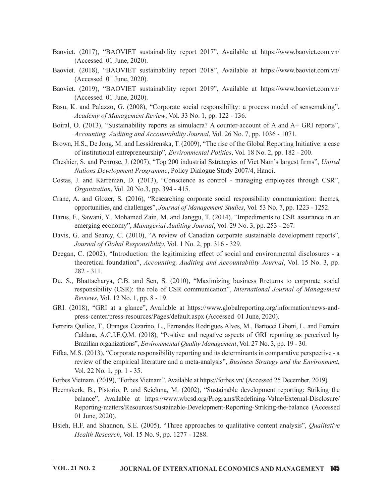- Baoviet. (2017), "BAOVIET sustainability report 2017", Available at https://www.baoviet.com.vn/ (Accessed 01 June, 2020).
- Baoviet. (2018), "BAOVIET sustainability report 2018", Available at https://www.baoviet.com.vn/ (Accessed 01 June, 2020).
- Baoviet. (2019), "BAOVIET sustainability report 2019", Available at https://www.baoviet.com.vn/ (Accessed 01 June, 2020).
- Basu, K. and Palazzo, G. (2008), "Corporate social responsibility: a process model of sensemaking", Academy of Management Review, Vol. 33 No. 1, pp. 122 - 136.
- Boiral, O. (2013), "Sustainability reports as simulacra? A counter-account of A and A+ GRI reports", Accounting, Auditing and Accountability Journal, Vol. 26 No. 7, pp. 1036 - 1071.
- Brown, H.S., De Jong, M. and Lessidrenska, T. (2009), "The rise of the Global Reporting Initiative: a case of institutional entrepreneurship", Environmental Politics, Vol. 18 No. 2, pp. 182 - 200.
- Cheshier, S. and Penrose, J. (2007), "Top 200 industrial Sstrategies of Viet Nam's largest firms", United Nations Development Programme, Policy Dialogue Study 2007/4, Hanoi.
- Costas, J. and Kärreman, D. (2013), "Conscience as control managing employees through CSR", Organization, Vol. 20 No.3, pp. 394 - 415.
- Crane, A. and Glozer, S. (2016), "Researching corporate social responsibility communication: themes, opportunities, and challenges", Journal of Management Studies, Vol. 53 No. 7, pp. 1223 - 1252.
- Darus, F., Sawani, Y., Mohamed Zain, M. and Janggu, T. (2014), "Impediments to CSR assurance in an emerging economy", Managerial Auditing Journal, Vol. 29 No. 3, pp. 253 - 267.
- Davis, G. and Searcy, C. (2010), "A review of Canadian corporate sustainable development reports", Journal of Global Responsibility, Vol. 1 No. 2, pp. 316 - 329.
- Deegan, C. (2002), "Introduction: the legitimizing effect of social and environmental disclosures a theoretical foundation", Accounting, Auditing and Accountability Journal, Vol. 15 No. 3, pp. 282 - 311.
- Du, S., Bhattacharya, C.B. and Sen, S. (2010), "Maximizing business Rreturns to corporate social responsibility (CSR): the role of CSR communication", International Journal of Management Reviews, Vol. 12 No. 1, pp. 8 - 19.
- GRI. (2018), "GRI at a glance", Available at https://www.globalreporting.org/information/news-andpress-center/press-resources/Pages/default.aspx (Accessed 01 June, 2020).
- Ferreira Quilice, T., Oranges Cezarino, L., Fernandes Rodrigues Alves, M., Bartocci Liboni, L. and Ferreira Caldana, A.C.J.E.Q.M. (2018), "Positive and negative aspects of GRI reporting as perceived by Brazilian organizations", *Environmental Quality Management*, Vol. 27 No. 3, pp. 19 - 30.
- Fifka, M.S. (2013), "Corporate responsibility reporting and its determinants in comparative perspective a review of the empirical literature and a meta-analysis", Business Strategy and the Environment, Vol. 22 No. 1, pp. 1 - 35.
- Forbes Vietnam. (2019), "Forbes Vietnam", Available at https://forbes.vn/ (Accessed 25 December, 2019).
- Heemskerk, B., Pistorio, P. and Scicluna, M. (2002), "Sustainable development reporting: Striking the balance", Available at https://www.wbcsd.org/Programs/Redefining-Value/External-Disclosure/ Reporting-matters/Resources/Sustainable-Development-Reporting-Striking-the-balance (Accessed 01 June, 2020).
- Hsieh, H.F. and Shannon, S.E. (2005), "Three approaches to qualitative content analysis", Qualitative Health Research, Vol. 15 No. 9, pp. 1277 - 1288.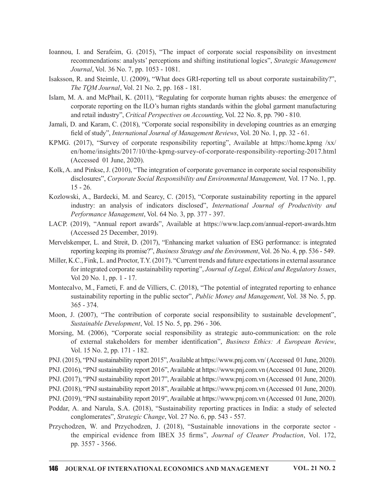- Ioannou, I. and Serafeim, G. (2015), "The impact of corporate social responsibility on investment recommendations: analysts' perceptions and shifting institutional logics", Strategic Management Journal, Vol. 36 No. 7, pp. 1053 - 1081.
- Isaksson, R. and Steimle, U. (2009), "What does GRI‐reporting tell us about corporate sustainability?", The TQM Journal, Vol. 21 No. 2, pp. 168 - 181.
- Islam, M. A. and McPhail, K. (2011), "Regulating for corporate human rights abuses: the emergence of corporate reporting on the ILO's human rights standards within the global garment manufacturing and retail industry", Critical Perspectives on Accounting, Vol. 22 No. 8, pp. 790 - 810.
- Jamali, D. and Karam, C. (2018), "Corporate social responsibility in developing countries as an emerging field of study", *International Journal of Management Reviews*, Vol. 20 No. 1, pp. 32 - 61.
- KPMG. (2017), "Survey of corporate responsibility reporting", Available at https://home.kpmg /xx/ en/home/insights/2017/10/the-kpmg-survey-of-corporate-responsibility-reporting-2017.html (Accessed 01 June, 2020).
- Kolk, A. and Pinkse, J. (2010), "The integration of corporate governance in corporate social responsibility disclosures", Corporate Social Responsibility and Environmental Management, Vol. 17 No. 1, pp. 15 - 26.
- Kozlowski, A., Bardecki, M. and Searcy, C. (2015), "Corporate sustainability reporting in the apparel industry: an analysis of indicators disclosed", International Journal of Productivity and Performance Management, Vol. 64 No. 3, pp. 377 - 397.
- LACP. (2019), "Annual report awards", Available at https://www.lacp.com/annual-report-awards.htm (Accessed 25 December, 2019).
- Mervelskemper, L. and Streit, D. (2017), "Enhancing market valuation of ESG performance: is integrated reporting keeping its promise?", Business Strategy and the Environment, Vol. 26 No. 4, pp. 536 - 549.
- Miller, K.C., Fink, L. and Proctor, T.Y. (2017). "Current trends and future expectationsin external assurance for integrated corporate sustainability reporting", Journal of Legal, Ethical and Regulatory Issues, Vol 20 No. 1, pp. 1 - 17.
- Montecalvo, M., Farneti, F. and de Villiers, C. (2018), "The potential of integrated reporting to enhance sustainability reporting in the public sector", *Public Money and Management*, Vol. 38 No. 5, pp. 365 - 374.
- Moon, J. (2007), "The contribution of corporate social responsibility to sustainable development", Sustainable Development, Vol. 15 No. 5, pp. 296 - 306.
- Morsing, M. (2006), "Corporate social responsibility as strategic auto-communication: on the role of external stakeholders for member identification", *Business Ethics: A European Review*, Vol. 15 No. 2, pp. 171 - 182.
- PNJ. (2015), "PNJ sustainability report 2015", Available at https://www.pnj.com.vn/ (Accessed 01 June, 2020).
- PNJ. (2016), "PNJ sustainability report 2016", Available at https://www.pnj.com.vn (Accessed 01 June, 2020).
- PNJ. (2017), "PNJ sustainability report 2017", Available at https://www.pnj.com.vn (Accessed 01 June, 2020).
- PNJ. (2018), "PNJ sustainability report 2018", Available at https://www.pnj.com.vn (Accessed 01 June, 2020).
- PNJ. (2019), "PNJ sustainability report 2019", Available at https://www.pnj.com.vn (Accessed 01 June, 2020).
- Poddar, A. and Narula, S.A. (2018), "Sustainability reporting practices in India: a study of selected conglomerates", Strategic Change, Vol. 27 No. 6, pp. 543 - 557.
- Przychodzen, W. and Przychodzen, J. (2018), "Sustainable innovations in the corporate sector Vol 20 Not. 1, pp. 1 + 1.<br>
Yoo, N., Fameti, F. and de Villiers, C. (2018), "The potential of integrated reporting to enhance<br>
sustainability reporting in the public sector", *Public Money and Management*, Vol. 38 No. 5, p pp. 3557 - 3566.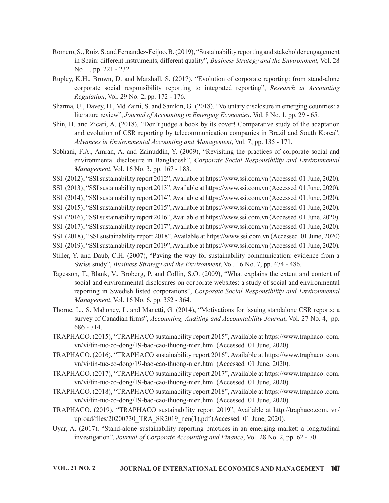- Romero, S., Ruiz, S. and Fernandez-Feijoo, B. (2019), "Sustainability reporting and stakeholder engagement in Spain: different instruments, different quality", Business Strategy and the Environment, Vol. 28 No. 1, pp. 221 - 232.
- Rupley, K.H., Brown, D. and Marshall, S. (2017), "Evolution of corporate reporting: from stand-alone corporate social responsibility reporting to integrated reporting", Research in Accounting Regulation, Vol. 29 No. 2, pp. 172 - 176.
- Sharma, U., Davey, H., Md Zaini, S. and Samkin, G. (2018), "Voluntary disclosure in emerging countries: a literature review", Journal of Accounting in Emerging Economies, Vol. 8 No. 1, pp. 29 - 65.
- Shin, H. and Zicari, A. (2018), "Don't judge a book by its cover! Comparative study of the adaptation and evolution of CSR reporting by telecommunication companies in Brazil and South Korea", Advances in Environmental Accounting and Management, Vol. 7, pp. 135 - 171.
- Sobhani, F.A., Amran, A. and Zainuddin, Y. (2009), "Revisiting the practices of corporate social and environmental disclosure in Bangladesh", Corporate Social Responsibility and Environmental Management, Vol. 16 No. 3, pp. 167 - 183.
- SSI. (2012), "SSI sustainability report 2012", Available at https://www.ssi.com.vn (Accessed 01 June, 2020).
- SSI. (2013), "SSI sustainability report 2013", Available at https://www.ssi.com.vn (Accessed 01 June, 2020).
- SSI. (2014), "SSI sustainability report 2014", Available at https://www.ssi.com.vn (Accessed 01 June, 2020).
- SSI. (2015), "SSI sustainability report 2015", Available at https://www.ssi.com.vn (Accessed 01 June, 2020).
- SSI. (2016), "SSI sustainability report 2016", Available at https://www.ssi.com.vn (Accessed 01 June, 2020).
- SSI. (2017), "SSI sustainability report 2017", Available at https://www.ssi.com.vn (Accessed 01 June, 2020).
- SSI. (2018), "SSI sustainability report 2018", Available at https://www.ssi.com.vn (Accessed 01 June, 2020)
- SSI. (2019), "SSI sustainability report 2019", Available at https://www.ssi.com.vn (Accessed 01 June, 2020).
- Stiller, Y. and Daub, C.H. (2007), "Paving the way for sustainability communication: evidence from a Swiss study", Business Strategy and the Environment, Vol. 16 No. 7, pp. 474 - 486.
- Tagesson, T., Blank, V., Broberg, P. and Collin, S.O. (2009), "What explains the extent and content of social and environmental disclosures on corporate websites: a study of social and environmental reporting in Swedish listed corporations", Corporate Social Responsibility and Environmental Management, Vol. 16 No. 6, pp. 352 - 364.
- Thorne, L., S. Mahoney, L. and Manetti, G. (2014), "Motivations for issuing standalone CSR reports: a survey of Canadian firms", Accounting, Auditing and Accountability Journal, Vol. 27 No. 4, pp. 686 - 714.
- TRAPHACO. (2015), "TRAPHACO sustainability report 2015", Available at https://www.traphaco. com. vn/vi/tin-tuc-co-dong/19-bao-cao-thuong-nien.html (Accessed 01 June, 2020).
- TRAPHACO. (2016), "TRAPHACO sustainability report 2016", Available at https://www.traphaco. com. vn/vi/tin-tuc-co-dong/19-bao-cao-thuong-nien.html (Accessed 01 June, 2020).
- TRAPHACO. (2017), "TRAPHACO sustainability report 2017", Available at https://www.traphaco. com. vn/vi/tin-tuc-co-dong/19-bao-cao-thuong-nien.html (Accessed 01 June, 2020).
- TRAPHACO. (2018), "TRAPHACO sustainability report 2018", Available at https://www.traphaco .com. vn/vi/tin-tuc-co-dong/19-bao-cao-thuong-nien.html (Accessed 01 June, 2020).
- TRAPHACO. (2019), "TRAPHACO sustainability report 2019", Available at http://traphaco.com. vn/ upload/files/20200730\_TRA\_SR2019\_nen(1).pdf (Accessed 01 June, 2020).
- Uyar, A. (2017), "Stand-alone sustainability reporting practices in an emerging market: a longitudinal investigation", Journal of Corporate Accounting and Finance, Vol. 28 No. 2, pp. 62 - 70.